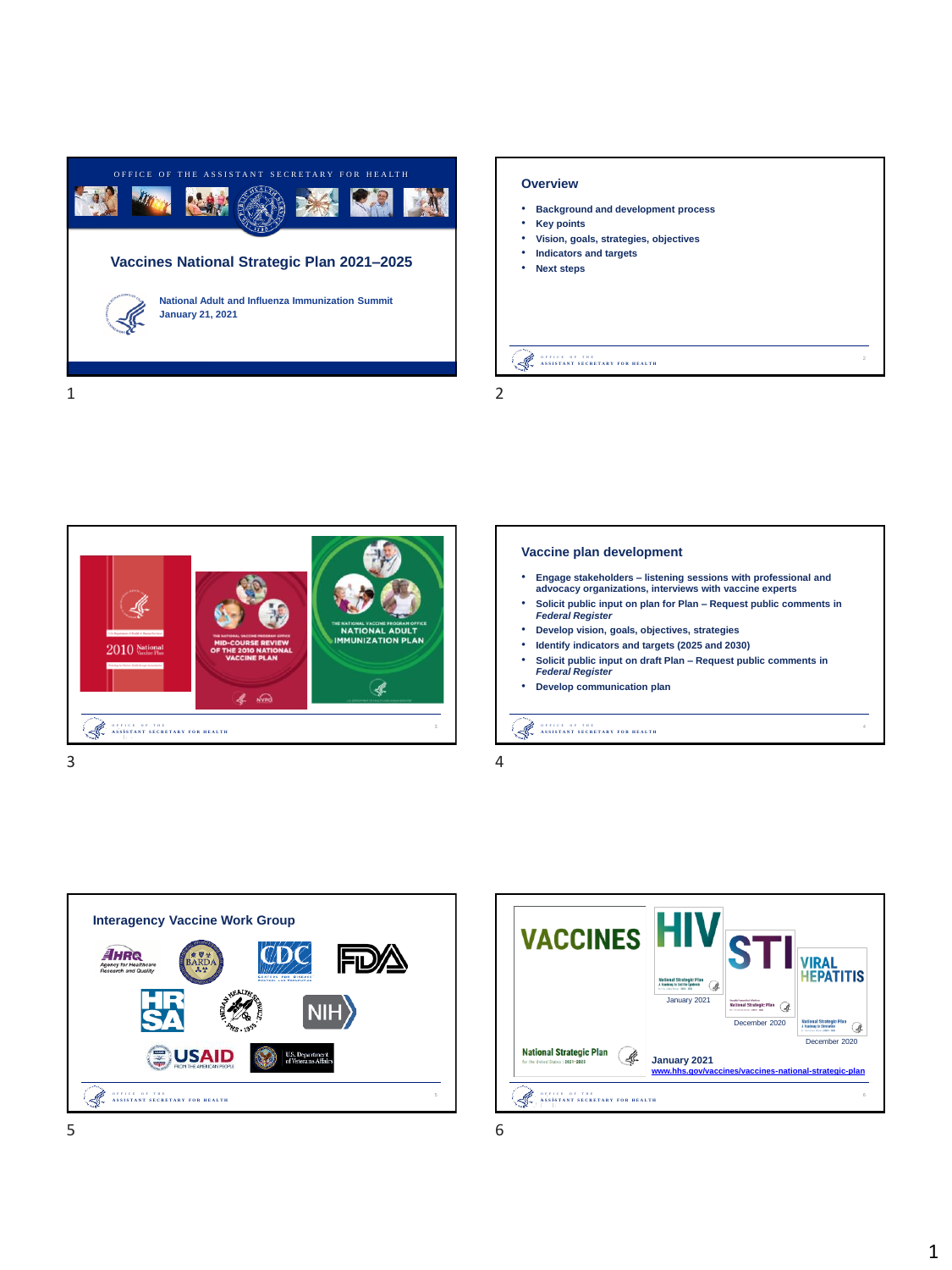

## **Overview**

- **Background and development process**
- **Key points**
- **Vision, goals, strategies, objectives** • **Indicators and targets**
- **Next steps**

## O F F I C E - O F - T H E<br>A S S I S T A N T - S **E C R E T A R Y F O R - H E A L T H**

1 2



## **Vaccine plan development**

- **Engage stakeholders – listening sessions with professional and advocacy organizations, interviews with vaccine experts**
- **Solicit public input on plan for Plan – Request public comments in**  *Federal Register*
- **Develop vision, goals, objectives, strategies**
- **Identify indicators and targets (2025 and 2030)**
- **Solicit public input on draft Plan – Request public comments in**  *Federal Register*
- **Develop communication plan**

O F F I C E - O F T H E<br>ASSISTANT SECRETARY FOR HEALTH

 $3 \hspace{2.5cm} 4$ 



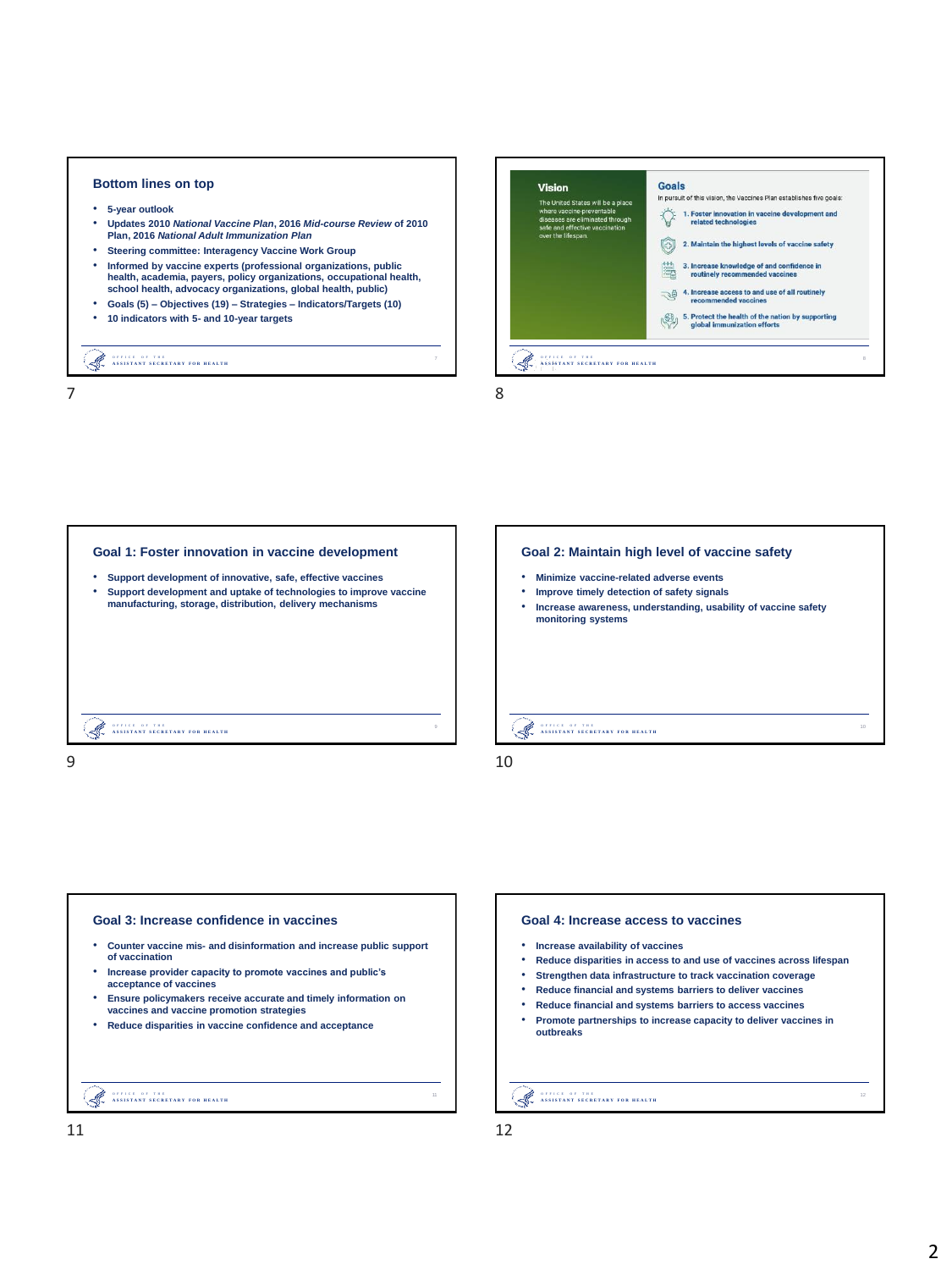## **Bottom lines on top** • **5-year outlook** • **Updates 2010** *National Vaccine Plan***, 2016** *Mid-course Review* **of 2010 Plan, 2016** *National Adult Immunization Plan* • **Steering committee: Interagency Vaccine Work Group** • **Informed by vaccine experts (professional organizations, public health, academia, payers, policy organizations, occupational health, school health, advocacy organizations, global health, public)** • **Goals (5) – Objectives (19) – Strategies – Indicators/Targets (10)** • **10 indicators with 5- and 10-year targets**



O F F I C E - O F - T H E<br>A S S I S T A N T - S **E C R E T A R Y F O R - H E A L T H** 









- **Increase availability of vaccines**
- **Reduce disparities in access to and use of vaccines across lifespan**
- **Strengthen data infrastructure to track vaccination coverage**
- **Reduce financial and systems barriers to deliver vaccines**
- **Reduce financial and systems barriers to access vaccines**
- **Promote partnerships to increase capacity to deliver vaccines in outbreaks**

Š. O F FI C E - O F - T H E<br>A S S I S T A N T - S **E C R E T A R T F E T T H E A L T H** 

12